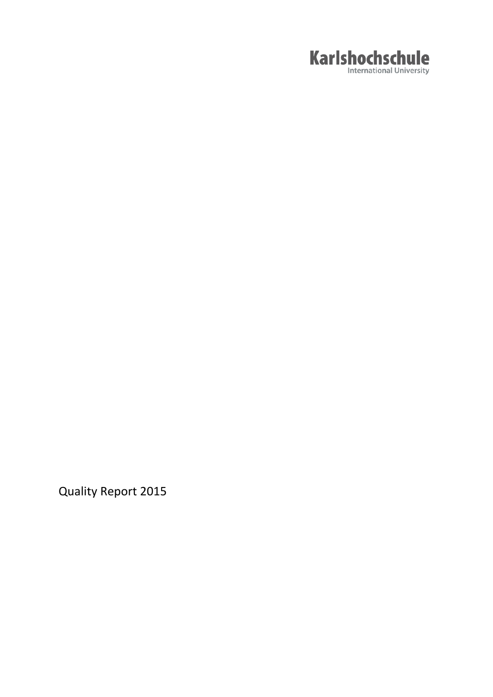

Quality Report 2015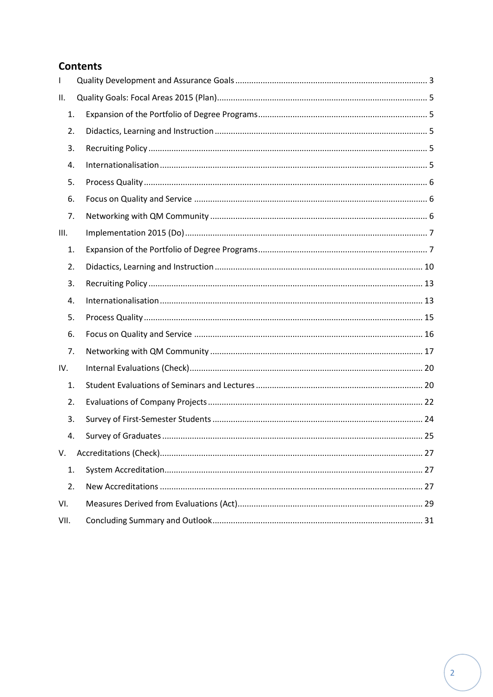# **Contents**

| T    |  |
|------|--|
| ΙΙ.  |  |
| 1.   |  |
| 2.   |  |
| 3.   |  |
| 4.   |  |
| 5.   |  |
| 6.   |  |
| 7.   |  |
| III. |  |
| 1.   |  |
| 2.   |  |
| 3.   |  |
| 4.   |  |
| 5.   |  |
| 6.   |  |
| 7.   |  |
| IV.  |  |
| 1.   |  |
| 2.   |  |
| 3.   |  |
| 4.   |  |
| V.   |  |
| 1.   |  |
| 2.   |  |
| VI.  |  |
| VII. |  |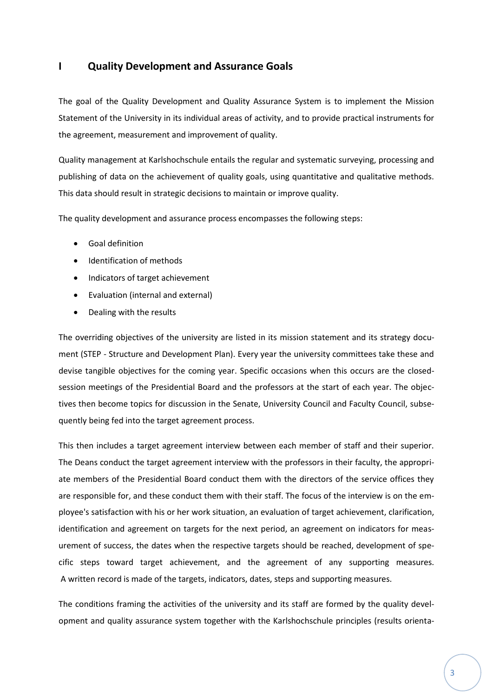# <span id="page-2-0"></span>**I Quality Development and Assurance Goals**

The goal of the Quality Development and Quality Assurance System is to implement the Mission Statement of the University in its individual areas of activity, and to provide practical instruments for the agreement, measurement and improvement of quality.

Quality management at Karlshochschule entails the regular and systematic surveying, processing and publishing of data on the achievement of quality goals, using quantitative and qualitative methods. This data should result in strategic decisions to maintain or improve quality.

The quality development and assurance process encompasses the following steps:

- Goal definition
- Identification of methods
- Indicators of target achievement
- Evaluation (internal and external)
- Dealing with the results

The overriding objectives of the university are listed in its mission statement and its strategy document (STEP - Structure and Development Plan). Every year the university committees take these and devise tangible objectives for the coming year. Specific occasions when this occurs are the closedsession meetings of the Presidential Board and the professors at the start of each year. The objectives then become topics for discussion in the Senate, University Council and Faculty Council, subsequently being fed into the target agreement process.

This then includes a target agreement interview between each member of staff and their superior. The Deans conduct the target agreement interview with the professors in their faculty, the appropriate members of the Presidential Board conduct them with the directors of the service offices they are responsible for, and these conduct them with their staff. The focus of the interview is on the employee's satisfaction with his or her work situation, an evaluation of target achievement, clarification, identification and agreement on targets for the next period, an agreement on indicators for measurement of success, the dates when the respective targets should be reached, development of specific steps toward target achievement, and the agreement of any supporting measures. A written record is made of the targets, indicators, dates, steps and supporting measures.

The conditions framing the activities of the university and its staff are formed by the quality development and quality assurance system together with the Karlshochschule principles (results orienta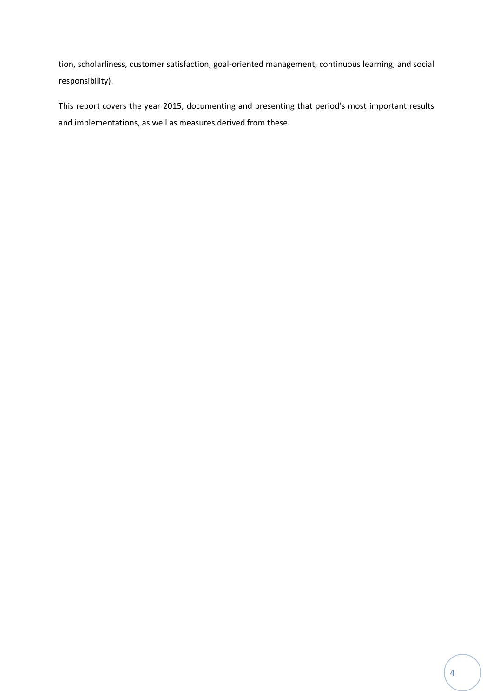tion, scholarliness, customer satisfaction, goal-oriented management, continuous learning, and social responsibility).

This report covers the year 2015, documenting and presenting that period's most important results and implementations, as well as measures derived from these.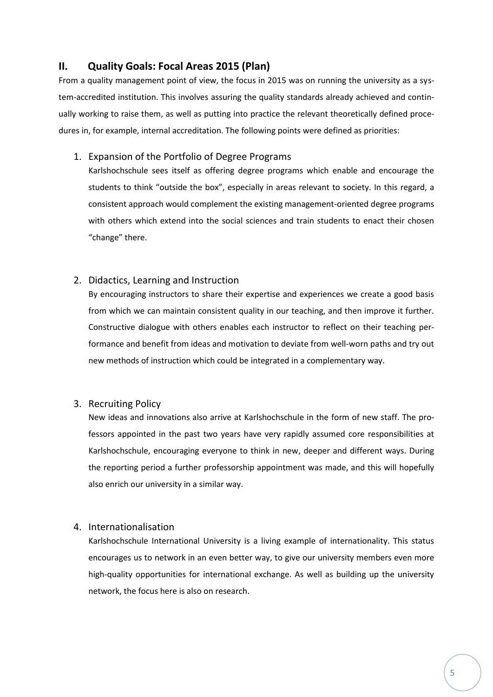# <span id="page-4-0"></span>**II. Quality Goals: Focal Areas 2015 (Plan)**

From a quality management point of view, the focus in 2015 was on running the university as a system-accredited institution. This involves assuring the quality standards already achieved and continually working to raise them, as well as putting into practice the relevant theoretically defined procedures in, for example, internal accreditation. The following points were defined as priorities:

## <span id="page-4-1"></span>1. Expansion of the Portfolio of Degree Programs

Karlshochschule sees itself as offering degree programs which enable and encourage the students to think "outside the box", especially in areas relevant to society. In this regard, a consistent approach would complement the existing management-oriented degree programs with others which extend into the social sciences and train students to enact their chosen "change" there.

## <span id="page-4-2"></span>2. Didactics, Learning and Instruction

By encouraging instructors to share their expertise and experiences we create a good basis from which we can maintain consistent quality in our teaching, and then improve it further. Constructive dialogue with others enables each instructor to reflect on their teaching performance and benefit from ideas and motivation to deviate from well-worn paths and try out new methods of instruction which could be integrated in a complementary way.

## <span id="page-4-3"></span>3. Recruiting Policy

New ideas and innovations also arrive at Karlshochschule in the form of new staff. The professors appointed in the past two years have very rapidly assumed core responsibilities at Karlshochschule, encouraging everyone to think in new, deeper and different ways. During the reporting period a further professorship appointment was made, and this will hopefully also enrich our university in a similar way.

## <span id="page-4-4"></span>4. Internationalisation

Karlshochschule International University is a living example of internationality. This status encourages us to network in an even better way, to give our university members even more high-quality opportunities for international exchange. As well as building up the university network, the focus here is also on research.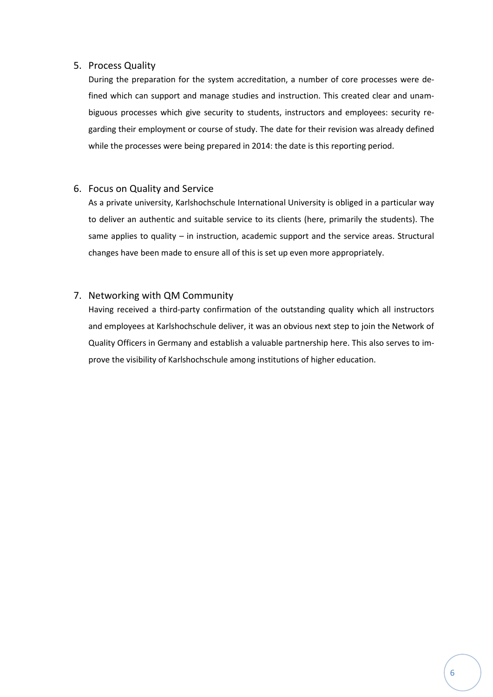## <span id="page-5-0"></span>5. Process Quality

During the preparation for the system accreditation, a number of core processes were defined which can support and manage studies and instruction. This created clear and unambiguous processes which give security to students, instructors and employees: security regarding their employment or course of study. The date for their revision was already defined while the processes were being prepared in 2014: the date is this reporting period.

## <span id="page-5-1"></span>6. Focus on Quality and Service

As a private university, Karlshochschule International University is obliged in a particular way to deliver an authentic and suitable service to its clients (here, primarily the students). The same applies to quality – in instruction, academic support and the service areas. Structural changes have been made to ensure all of this is set up even more appropriately.

# <span id="page-5-2"></span>7. Networking with QM Community

Having received a third-party confirmation of the outstanding quality which all instructors and employees at Karlshochschule deliver, it was an obvious next step to join the Network of Quality Officers in Germany and establish a valuable partnership here. This also serves to improve the visibility of Karlshochschule among institutions of higher education.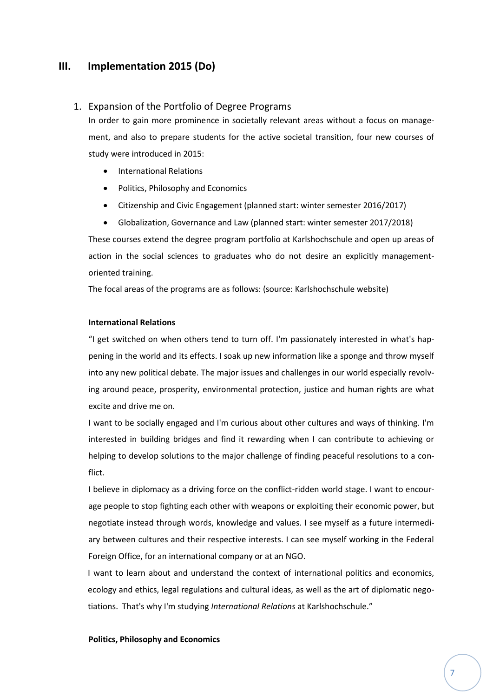# <span id="page-6-0"></span>**III. Implementation 2015 (Do)**

## <span id="page-6-1"></span>1. Expansion of the Portfolio of Degree Programs

In order to gain more prominence in societally relevant areas without a focus on management, and also to prepare students for the active societal transition, four new courses of study were introduced in 2015:

- **•** International Relations
- Politics, Philosophy and Economics
- Citizenship and Civic Engagement (planned start: winter semester 2016/2017)
- Globalization, Governance and Law (planned start: winter semester 2017/2018)

These courses extend the degree program portfolio at Karlshochschule and open up areas of action in the social sciences to graduates who do not desire an explicitly managementoriented training.

The focal areas of the programs are as follows: (source: Karlshochschule website)

#### **International Relations**

"I get switched on when others tend to turn off. I'm passionately interested in what's happening in the world and its effects. I soak up new information like a sponge and throw myself into any new political debate. The major issues and challenges in our world especially revolving around peace, prosperity, environmental protection, justice and human rights are what excite and drive me on.

I want to be socially engaged and I'm curious about other cultures and ways of thinking. I'm interested in building bridges and find it rewarding when I can contribute to achieving or helping to develop solutions to the major challenge of finding peaceful resolutions to a conflict.

I believe in diplomacy as a driving force on the conflict-ridden world stage. I want to encourage people to stop fighting each other with weapons or exploiting their economic power, but negotiate instead through words, knowledge and values. I see myself as a future intermediary between cultures and their respective interests. I can see myself working in the Federal Foreign Office, for an international company or at an NGO.

I want to learn about and understand the context of international politics and economics, ecology and ethics, legal regulations and cultural ideas, as well as the art of diplomatic negotiations. That's why I'm studying *International Relations* at Karlshochschule."

#### **Politics, Philosophy and Economics**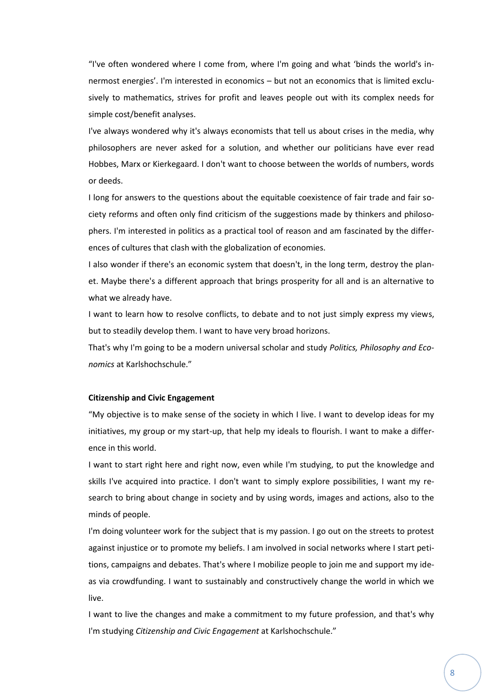"I've often wondered where I come from, where I'm going and what 'binds the world's innermost energies'. I'm interested in economics – but not an economics that is limited exclusively to mathematics, strives for profit and leaves people out with its complex needs for simple cost/benefit analyses.

I've always wondered why it's always economists that tell us about crises in the media, why philosophers are never asked for a solution, and whether our politicians have ever read Hobbes, Marx or Kierkegaard. I don't want to choose between the worlds of numbers, words or deeds.

I long for answers to the questions about the equitable coexistence of fair trade and fair society reforms and often only find criticism of the suggestions made by thinkers and philosophers. I'm interested in politics as a practical tool of reason and am fascinated by the differences of cultures that clash with the globalization of economies.

I also wonder if there's an economic system that doesn't, in the long term, destroy the planet. Maybe there's a different approach that brings prosperity for all and is an alternative to what we already have.

I want to learn how to resolve conflicts, to debate and to not just simply express my views, but to steadily develop them. I want to have very broad horizons.

That's why I'm going to be a modern universal scholar and study *Politics, Philosophy and Economics* at Karlshochschule."

#### **Citizenship and Civic Engagement**

"My objective is to make sense of the society in which I live. I want to develop ideas for my initiatives, my group or my start-up, that help my ideals to flourish. I want to make a difference in this world.

I want to start right here and right now, even while I'm studying, to put the knowledge and skills I've acquired into practice. I don't want to simply explore possibilities, I want my research to bring about change in society and by using words, images and actions, also to the minds of people.

I'm doing volunteer work for the subject that is my passion. I go out on the streets to protest against injustice or to promote my beliefs. I am involved in social networks where I start petitions, campaigns and debates. That's where I mobilize people to join me and support my ideas via crowdfunding. I want to sustainably and constructively change the world in which we live.

I want to live the changes and make a commitment to my future profession, and that's why I'm studying *Citizenship and Civic Engagement* at Karlshochschule."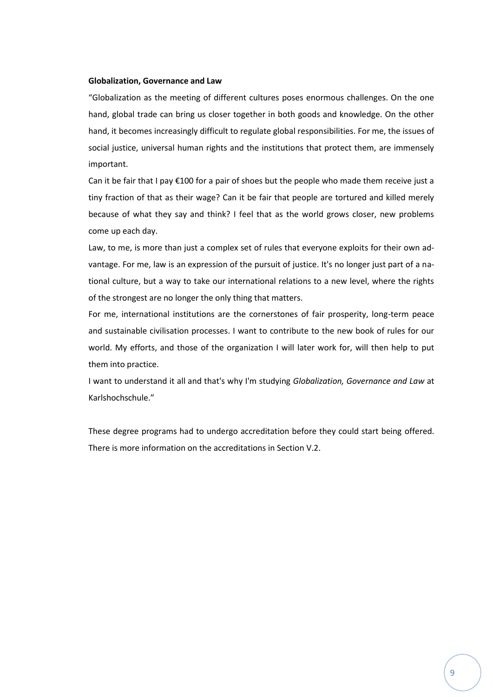#### **Globalization, Governance and Law**

"Globalization as the meeting of different cultures poses enormous challenges. On the one hand, global trade can bring us closer together in both goods and knowledge. On the other hand, it becomes increasingly difficult to regulate global responsibilities. For me, the issues of social justice, universal human rights and the institutions that protect them, are immensely important.

Can it be fair that I pay  $\epsilon$ 100 for a pair of shoes but the people who made them receive just a tiny fraction of that as their wage? Can it be fair that people are tortured and killed merely because of what they say and think? I feel that as the world grows closer, new problems come up each day.

Law, to me, is more than just a complex set of rules that everyone exploits for their own advantage. For me, law is an expression of the pursuit of justice. It's no longer just part of a national culture, but a way to take our international relations to a new level, where the rights of the strongest are no longer the only thing that matters.

For me, international institutions are the cornerstones of fair prosperity, long-term peace and sustainable civilisation processes. I want to contribute to the new book of rules for our world. My efforts, and those of the organization I will later work for, will then help to put them into practice.

I want to understand it all and that's why I'm studying *Globalization, Governance and Law* at Karlshochschule."

These degree programs had to undergo accreditation before they could start being offered. There is more information on the accreditations in Section V.2.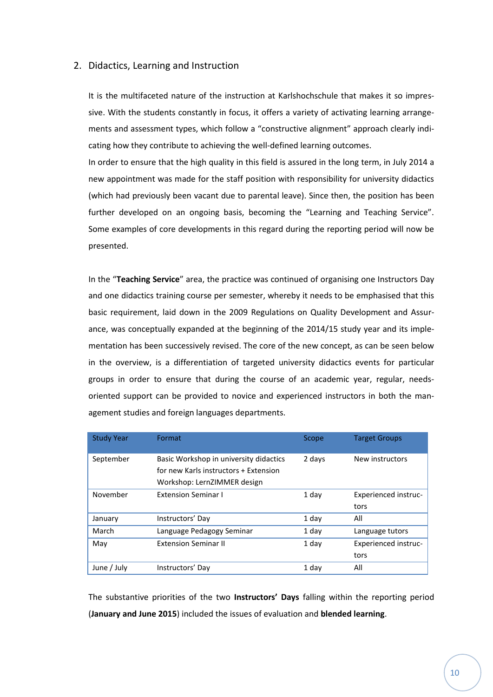### <span id="page-9-0"></span>2. Didactics, Learning and Instruction

It is the multifaceted nature of the instruction at Karlshochschule that makes it so impressive. With the students constantly in focus, it offers a variety of activating learning arrangements and assessment types, which follow a "constructive alignment" approach clearly indicating how they contribute to achieving the well-defined learning outcomes.

In order to ensure that the high quality in this field is assured in the long term, in July 2014 a new appointment was made for the staff position with responsibility for university didactics (which had previously been vacant due to parental leave). Since then, the position has been further developed on an ongoing basis, becoming the "Learning and Teaching Service". Some examples of core developments in this regard during the reporting period will now be presented.

In the "**Teaching Service**" area, the practice was continued of organising one Instructors Day and one didactics training course per semester, whereby it needs to be emphasised that this basic requirement, laid down in the 2009 Regulations on Quality Development and Assurance, was conceptually expanded at the beginning of the 2014/15 study year and its implementation has been successively revised. The core of the new concept, as can be seen below in the overview, is a differentiation of targeted university didactics events for particular groups in order to ensure that during the course of an academic year, regular, needsoriented support can be provided to novice and experienced instructors in both the management studies and foreign languages departments.

| <b>Study Year</b> | Format                                                                                                         | Scope  | <b>Target Groups</b>        |
|-------------------|----------------------------------------------------------------------------------------------------------------|--------|-----------------------------|
| September         | Basic Workshop in university didactics<br>for new Karls instructors + Extension<br>Workshop: LernZIMMER design | 2 days | New instructors             |
| November          | <b>Extension Seminar I</b>                                                                                     | 1 day  | Experienced instruc-        |
|                   |                                                                                                                |        | tors                        |
| January           | Instructors' Day                                                                                               | 1 day  | All                         |
| March             | Language Pedagogy Seminar                                                                                      | 1 day  | Language tutors             |
| May               | <b>Extension Seminar II</b>                                                                                    | 1 day  | <b>Experienced instruc-</b> |
|                   |                                                                                                                |        | tors                        |
| June / July       | Instructors' Day                                                                                               | 1 day  | All                         |

The substantive priorities of the two **Instructors' Days** falling within the reporting period (**January and June 2015**) included the issues of evaluation and **blended learning**.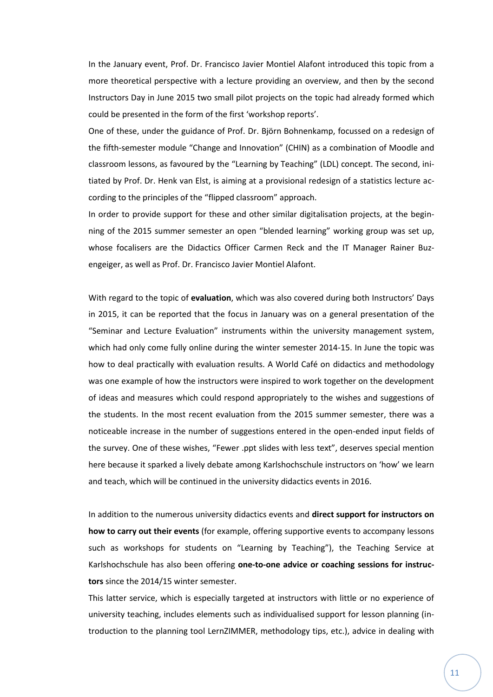In the January event, Prof. Dr. Francisco Javier Montiel Alafont introduced this topic from a more theoretical perspective with a lecture providing an overview, and then by the second Instructors Day in June 2015 two small pilot projects on the topic had already formed which could be presented in the form of the first 'workshop reports'.

One of these, under the guidance of Prof. Dr. Björn Bohnenkamp, focussed on a redesign of the fifth-semester module "Change and Innovation" (CHIN) as a combination of Moodle and classroom lessons, as favoured by the "Learning by Teaching" (LDL) concept. The second, initiated by Prof. Dr. Henk van Elst, is aiming at a provisional redesign of a statistics lecture according to the principles of the "flipped classroom" approach.

In order to provide support for these and other similar digitalisation projects, at the beginning of the 2015 summer semester an open "blended learning" working group was set up, whose focalisers are the Didactics Officer Carmen Reck and the IT Manager Rainer Buzengeiger, as well as Prof. Dr. Francisco Javier Montiel Alafont.

With regard to the topic of **evaluation**, which was also covered during both Instructors' Days in 2015, it can be reported that the focus in January was on a general presentation of the "Seminar and Lecture Evaluation" instruments within the university management system, which had only come fully online during the winter semester 2014-15. In June the topic was how to deal practically with evaluation results. A World Café on didactics and methodology was one example of how the instructors were inspired to work together on the development of ideas and measures which could respond appropriately to the wishes and suggestions of the students. In the most recent evaluation from the 2015 summer semester, there was a noticeable increase in the number of suggestions entered in the open-ended input fields of the survey. One of these wishes, "Fewer .ppt slides with less text", deserves special mention here because it sparked a lively debate among Karlshochschule instructors on 'how' we learn and teach, which will be continued in the university didactics events in 2016.

In addition to the numerous university didactics events and **direct support for instructors on how to carry out their events** (for example, offering supportive events to accompany lessons such as workshops for students on "Learning by Teaching"), the Teaching Service at Karlshochschule has also been offering **one-to-one advice or coaching sessions for instructors** since the 2014/15 winter semester.

This latter service, which is especially targeted at instructors with little or no experience of university teaching, includes elements such as individualised support for lesson planning (introduction to the planning tool LernZIMMER, methodology tips, etc.), advice in dealing with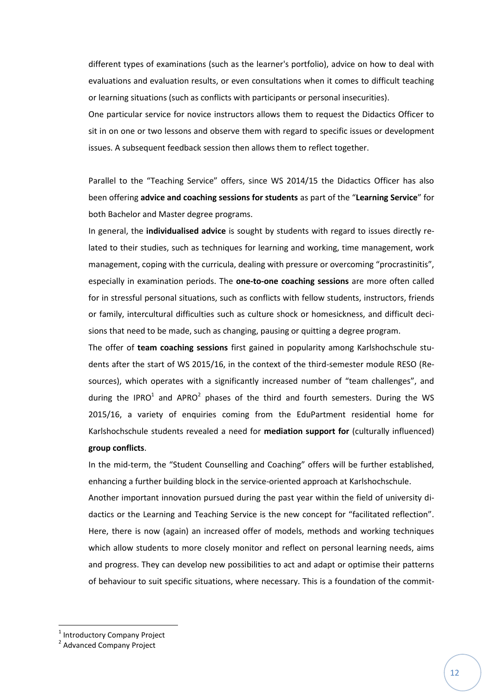different types of examinations (such as the learner's portfolio), advice on how to deal with evaluations and evaluation results, or even consultations when it comes to difficult teaching or learning situations (such as conflicts with participants or personal insecurities).

One particular service for novice instructors allows them to request the Didactics Officer to sit in on one or two lessons and observe them with regard to specific issues or development issues. A subsequent feedback session then allows them to reflect together.

Parallel to the "Teaching Service" offers, since WS 2014/15 the Didactics Officer has also been offering **advice and coaching sessions for students** as part of the "**Learning Service**" for both Bachelor and Master degree programs.

In general, the **individualised advice** is sought by students with regard to issues directly related to their studies, such as techniques for learning and working, time management, work management, coping with the curricula, dealing with pressure or overcoming "procrastinitis", especially in examination periods. The **one-to-one coaching sessions** are more often called for in stressful personal situations, such as conflicts with fellow students, instructors, friends or family, intercultural difficulties such as culture shock or homesickness, and difficult decisions that need to be made, such as changing, pausing or quitting a degree program.

The offer of **team coaching sessions** first gained in popularity among Karlshochschule students after the start of WS 2015/16, in the context of the third-semester module RESO (Resources), which operates with a significantly increased number of "team challenges", and during the IPRO<sup>1</sup> and APRO<sup>2</sup> phases of the third and fourth semesters. During the WS 2015/16, a variety of enquiries coming from the EduPartment residential home for Karlshochschule students revealed a need for **mediation support for** (culturally influenced) **group conflicts**.

In the mid-term, the "Student Counselling and Coaching" offers will be further established, enhancing a further building block in the service-oriented approach at Karlshochschule.

Another important innovation pursued during the past year within the field of university didactics or the Learning and Teaching Service is the new concept for "facilitated reflection". Here, there is now (again) an increased offer of models, methods and working techniques which allow students to more closely monitor and reflect on personal learning needs, aims and progress. They can develop new possibilities to act and adapt or optimise their patterns of behaviour to suit specific situations, where necessary. This is a foundation of the commit-

**.** 

<sup>&</sup>lt;sup>1</sup> Introductory Company Project

<sup>&</sup>lt;sup>2</sup> Advanced Company Project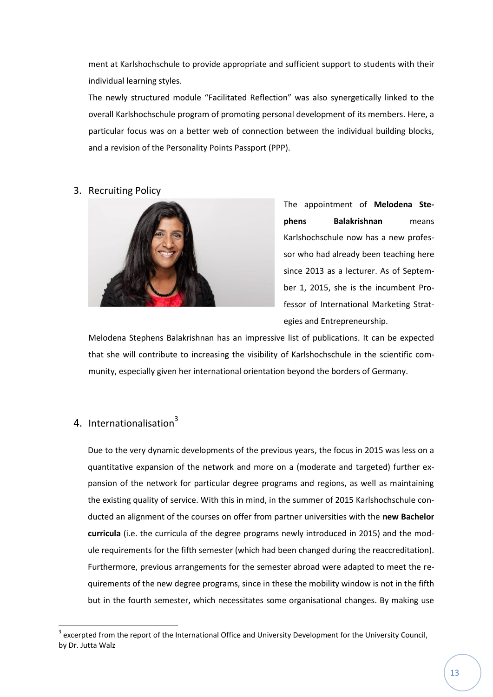ment at Karlshochschule to provide appropriate and sufficient support to students with their individual learning styles.

The newly structured module "Facilitated Reflection" was also synergetically linked to the overall Karlshochschule program of promoting personal development of its members. Here, a particular focus was on a better web of connection between the individual building blocks, and a revision of the Personality Points Passport (PPP).

## <span id="page-12-0"></span>3. Recruiting Policy



The appointment of **Melodena Stephens Balakrishnan** means Karlshochschule now has a new professor who had already been teaching here since 2013 as a lecturer. As of September 1, 2015, she is the incumbent Professor of International Marketing Strategies and Entrepreneurship.

Melodena Stephens Balakrishnan has an impressive list of publications. It can be expected that she will contribute to increasing the visibility of Karlshochschule in the scientific community, especially given her international orientation beyond the borders of Germany.

# <span id="page-12-1"></span>4. Internationalisation<sup>3</sup>

**.** 

Due to the very dynamic developments of the previous years, the focus in 2015 was less on a quantitative expansion of the network and more on a (moderate and targeted) further expansion of the network for particular degree programs and regions, as well as maintaining the existing quality of service. With this in mind, in the summer of 2015 Karlshochschule conducted an alignment of the courses on offer from partner universities with the **new Bachelor curricula** (i.e. the curricula of the degree programs newly introduced in 2015) and the module requirements for the fifth semester (which had been changed during the reaccreditation). Furthermore, previous arrangements for the semester abroad were adapted to meet the requirements of the new degree programs, since in these the mobility window is not in the fifth but in the fourth semester, which necessitates some organisational changes. By making use

 $3$  excerpted from the report of the International Office and University Development for the University Council, by Dr. Jutta Walz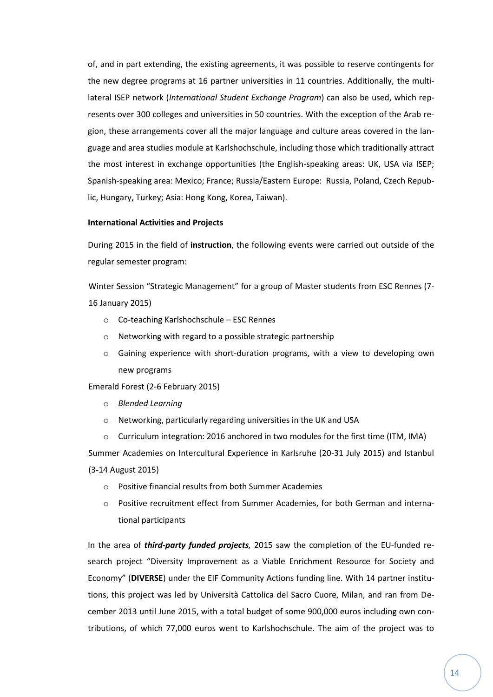of, and in part extending, the existing agreements, it was possible to reserve contingents for the new degree programs at 16 partner universities in 11 countries. Additionally, the multilateral ISEP network (*International Student Exchange Program*) can also be used, which represents over 300 colleges and universities in 50 countries. With the exception of the Arab region, these arrangements cover all the major language and culture areas covered in the language and area studies module at Karlshochschule, including those which traditionally attract the most interest in exchange opportunities (the English-speaking areas: UK, USA via ISEP; Spanish-speaking area: Mexico; France; Russia/Eastern Europe: Russia, Poland, Czech Republic, Hungary, Turkey; Asia: Hong Kong, Korea, Taiwan).

#### **International Activities and Projects**

During 2015 in the field of **instruction**, the following events were carried out outside of the regular semester program:

Winter Session "Strategic Management" for a group of Master students from ESC Rennes (7- 16 January 2015)

- o Co-teaching Karlshochschule ESC Rennes
- o Networking with regard to a possible strategic partnership
- o Gaining experience with short-duration programs, with a view to developing own new programs

Emerald Forest (2-6 February 2015)

- o *Blended Learning*
- o Networking, particularly regarding universities in the UK and USA
- $\circ$  Curriculum integration: 2016 anchored in two modules for the first time (ITM, IMA)

Summer Academies on Intercultural Experience in Karlsruhe (20-31 July 2015) and Istanbul (3-14 August 2015)

- o Positive financial results from both Summer Academies
- o Positive recruitment effect from Summer Academies, for both German and international participants

In the area of *third-party funded projects,* 2015 saw the completion of the EU-funded research project "Diversity Improvement as a Viable Enrichment Resource for Society and Economy" (**DIVERSE**) under the EIF Community Actions funding line. With 14 partner institutions, this project was led by Università Cattolica del Sacro Cuore, Milan, and ran from December 2013 until June 2015, with a total budget of some 900,000 euros including own contributions, of which 77,000 euros went to Karlshochschule. The aim of the project was to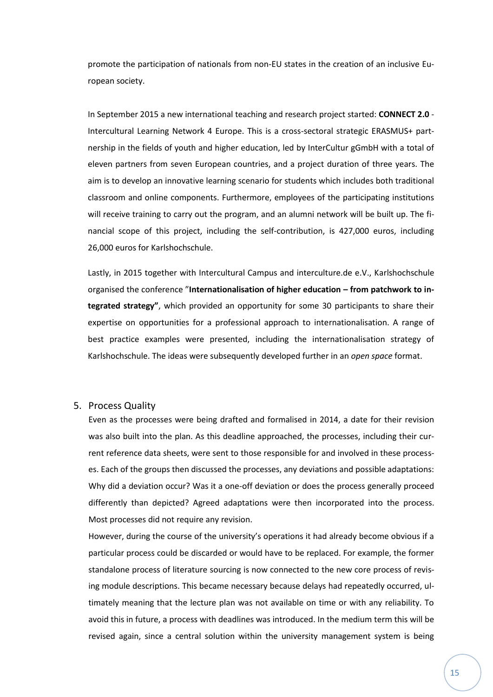promote the participation of nationals from non-EU states in the creation of an inclusive European society.

In September 2015 a new international teaching and research project started: **CONNECT 2.0** - Intercultural Learning Network 4 Europe. This is a cross-sectoral strategic ERASMUS+ partnership in the fields of youth and higher education, led by InterCultur gGmbH with a total of eleven partners from seven European countries, and a project duration of three years. The aim is to develop an innovative learning scenario for students which includes both traditional classroom and online components. Furthermore, employees of the participating institutions will receive training to carry out the program, and an alumni network will be built up. The financial scope of this project, including the self-contribution, is 427,000 euros, including 26,000 euros for Karlshochschule.

Lastly, in 2015 together with Intercultural Campus and interculture.de e.V., Karlshochschule organised the conference "**Internationalisation of higher education – from patchwork to integrated strategy"**, which provided an opportunity for some 30 participants to share their expertise on opportunities for a professional approach to internationalisation. A range of best practice examples were presented, including the internationalisation strategy of Karlshochschule. The ideas were subsequently developed further in an *open space* format.

### <span id="page-14-0"></span>5. Process Quality

Even as the processes were being drafted and formalised in 2014, a date for their revision was also built into the plan. As this deadline approached, the processes, including their current reference data sheets, were sent to those responsible for and involved in these processes. Each of the groups then discussed the processes, any deviations and possible adaptations: Why did a deviation occur? Was it a one-off deviation or does the process generally proceed differently than depicted? Agreed adaptations were then incorporated into the process. Most processes did not require any revision.

However, during the course of the university's operations it had already become obvious if a particular process could be discarded or would have to be replaced. For example, the former standalone process of literature sourcing is now connected to the new core process of revising module descriptions. This became necessary because delays had repeatedly occurred, ultimately meaning that the lecture plan was not available on time or with any reliability. To avoid this in future, a process with deadlines was introduced. In the medium term this will be revised again, since a central solution within the university management system is being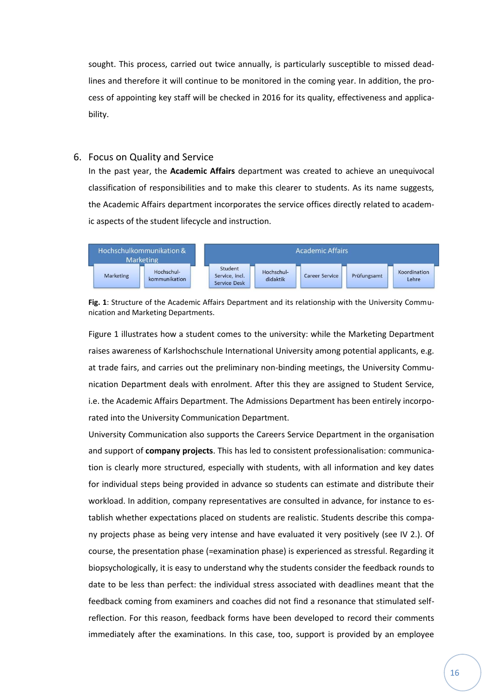sought. This process, carried out twice annually, is particularly susceptible to missed deadlines and therefore it will continue to be monitored in the coming year. In addition, the process of appointing key staff will be checked in 2016 for its quality, effectiveness and applicability.

## <span id="page-15-0"></span>6. Focus on Quality and Service

In the past year, the **Academic Affairs** department was created to achieve an unequivocal classification of responsibilities and to make this clearer to students. As its name suggests, the Academic Affairs department incorporates the service offices directly related to academic aspects of the student lifecycle and instruction.



**Fig. 1**: Structure of the Academic Affairs Department and its relationship with the University Communication and Marketing Departments.

Figure 1 illustrates how a student comes to the university: while the Marketing Department raises awareness of Karlshochschule International University among potential applicants, e.g. at trade fairs, and carries out the preliminary non-binding meetings, the University Communication Department deals with enrolment. After this they are assigned to Student Service, i.e. the Academic Affairs Department. The Admissions Department has been entirely incorporated into the University Communication Department.

University Communication also supports the Careers Service Department in the organisation and support of **company projects**. This has led to consistent professionalisation: communication is clearly more structured, especially with students, with all information and key dates for individual steps being provided in advance so students can estimate and distribute their workload. In addition, company representatives are consulted in advance, for instance to establish whether expectations placed on students are realistic. Students describe this company projects phase as being very intense and have evaluated it very positively (see IV 2.). Of course, the presentation phase (=examination phase) is experienced as stressful. Regarding it biopsychologically, it is easy to understand why the students consider the feedback rounds to date to be less than perfect: the individual stress associated with deadlines meant that the feedback coming from examiners and coaches did not find a resonance that stimulated selfreflection. For this reason, feedback forms have been developed to record their comments immediately after the examinations. In this case, too, support is provided by an employee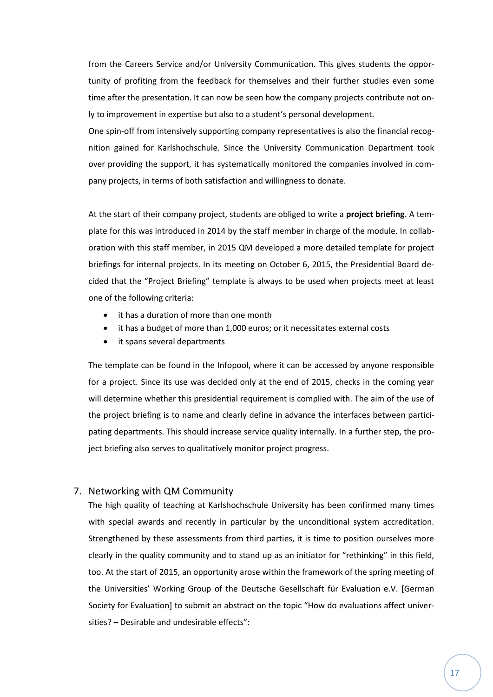from the Careers Service and/or University Communication. This gives students the opportunity of profiting from the feedback for themselves and their further studies even some time after the presentation. It can now be seen how the company projects contribute not only to improvement in expertise but also to a student's personal development.

One spin-off from intensively supporting company representatives is also the financial recognition gained for Karlshochschule. Since the University Communication Department took over providing the support, it has systematically monitored the companies involved in company projects, in terms of both satisfaction and willingness to donate.

At the start of their company project, students are obliged to write a **project briefing**. A template for this was introduced in 2014 by the staff member in charge of the module. In collaboration with this staff member, in 2015 QM developed a more detailed template for project briefings for internal projects. In its meeting on October 6, 2015, the Presidential Board decided that the "Project Briefing" template is always to be used when projects meet at least one of the following criteria:

- it has a duration of more than one month
- it has a budget of more than 1,000 euros; or it necessitates external costs
- it spans several departments

The template can be found in the Infopool, where it can be accessed by anyone responsible for a project. Since its use was decided only at the end of 2015, checks in the coming year will determine whether this presidential requirement is complied with. The aim of the use of the project briefing is to name and clearly define in advance the interfaces between participating departments. This should increase service quality internally. In a further step, the project briefing also serves to qualitatively monitor project progress.

### <span id="page-16-0"></span>7. Networking with QM Community

The high quality of teaching at Karlshochschule University has been confirmed many times with special awards and recently in particular by the unconditional system accreditation. Strengthened by these assessments from third parties, it is time to position ourselves more clearly in the quality community and to stand up as an initiator for "rethinking" in this field, too. At the start of 2015, an opportunity arose within the framework of the spring meeting of the Universities' Working Group of the Deutsche Gesellschaft für Evaluation e.V. [German Society for Evaluation] to submit an abstract on the topic "How do evaluations affect universities? – Desirable and undesirable effects":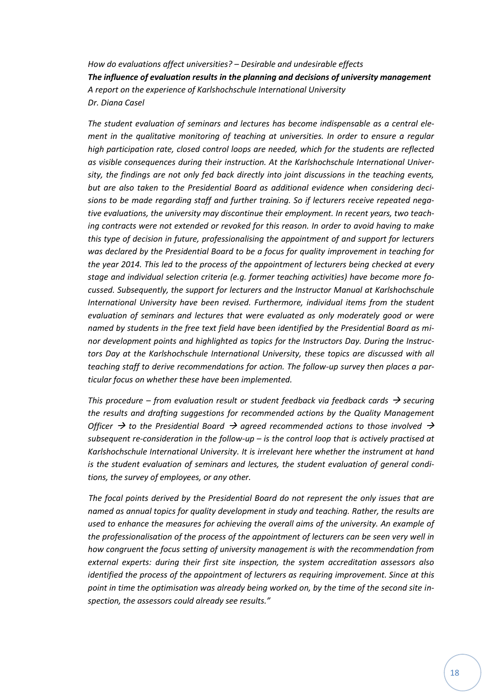*How do evaluations affect universities? – Desirable and undesirable effects The influence of evaluation results in the planning and decisions of university management A report on the experience of Karlshochschule International University Dr. Diana Casel*

*The student evaluation of seminars and lectures has become indispensable as a central element in the qualitative monitoring of teaching at universities. In order to ensure a regular high participation rate, closed control loops are needed, which for the students are reflected as visible consequences during their instruction. At the Karlshochschule International University, the findings are not only fed back directly into joint discussions in the teaching events, but are also taken to the Presidential Board as additional evidence when considering decisions to be made regarding staff and further training. So if lecturers receive repeated negative evaluations, the university may discontinue their employment. In recent years, two teaching contracts were not extended or revoked for this reason. In order to avoid having to make this type of decision in future, professionalising the appointment of and support for lecturers was declared by the Presidential Board to be a focus for quality improvement in teaching for the year 2014. This led to the process of the appointment of lecturers being checked at every stage and individual selection criteria (e.g. former teaching activities) have become more focussed. Subsequently, the support for lecturers and the Instructor Manual at Karlshochschule International University have been revised. Furthermore, individual items from the student evaluation of seminars and lectures that were evaluated as only moderately good or were named by students in the free text field have been identified by the Presidential Board as minor development points and highlighted as topics for the Instructors Day. During the Instructors Day at the Karlshochschule International University, these topics are discussed with all teaching staff to derive recommendations for action. The follow-up survey then places a particular focus on whether these have been implemented.* 

*This procedure – from evaluation result or student feedback via feedback cards*  $\rightarrow$  *securing the results and drafting suggestions for recommended actions by the Quality Management Officer*  $\rightarrow$  to the Presidential Board  $\rightarrow$  agreed recommended actions to those involved  $\rightarrow$ *subsequent re-consideration in the follow-up – is the control loop that is actively practised at Karlshochschule International University. It is irrelevant here whether the instrument at hand is the student evaluation of seminars and lectures, the student evaluation of general conditions, the survey of employees, or any other.* 

*The focal points derived by the Presidential Board do not represent the only issues that are named as annual topics for quality development in study and teaching. Rather, the results are used to enhance the measures for achieving the overall aims of the university. An example of the professionalisation of the process of the appointment of lecturers can be seen very well in how congruent the focus setting of university management is with the recommendation from external experts: during their first site inspection, the system accreditation assessors also identified the process of the appointment of lecturers as requiring improvement. Since at this point in time the optimisation was already being worked on, by the time of the second site inspection, the assessors could already see results."*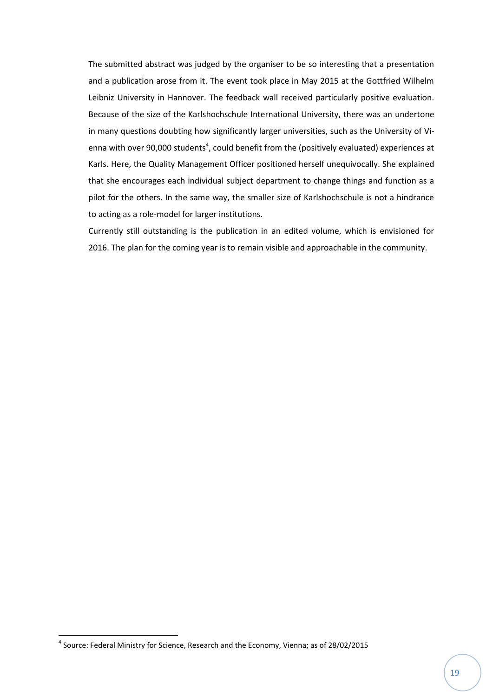The submitted abstract was judged by the organiser to be so interesting that a presentation and a publication arose from it. The event took place in May 2015 at the Gottfried Wilhelm Leibniz University in Hannover. The feedback wall received particularly positive evaluation. Because of the size of the Karlshochschule International University, there was an undertone in many questions doubting how significantly larger universities, such as the University of Vienna with over 90,000 students<sup>4</sup>, could benefit from the (positively evaluated) experiences at Karls. Here, the Quality Management Officer positioned herself unequivocally. She explained that she encourages each individual subject department to change things and function as a pilot for the others. In the same way, the smaller size of Karlshochschule is not a hindrance to acting as a role-model for larger institutions.

Currently still outstanding is the publication in an edited volume, which is envisioned for 2016. The plan for the coming year is to remain visible and approachable in the community.

**.** 

<sup>&</sup>lt;sup>4</sup> Source: Federal Ministry for Science, Research and the Economy, Vienna; as of 28/02/2015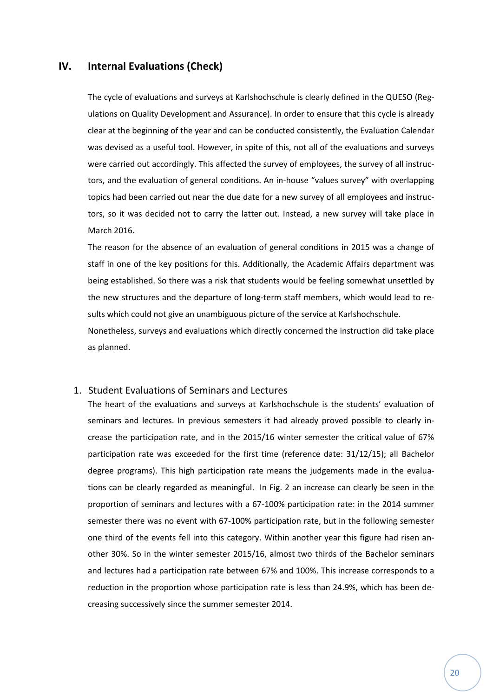## <span id="page-19-0"></span>**IV. Internal Evaluations (Check)**

The cycle of evaluations and surveys at Karlshochschule is clearly defined in the QUESO (Regulations on Quality Development and Assurance). In order to ensure that this cycle is already clear at the beginning of the year and can be conducted consistently, the Evaluation Calendar was devised as a useful tool. However, in spite of this, not all of the evaluations and surveys were carried out accordingly. This affected the survey of employees, the survey of all instructors, and the evaluation of general conditions. An in-house "values survey" with overlapping topics had been carried out near the due date for a new survey of all employees and instructors, so it was decided not to carry the latter out. Instead, a new survey will take place in March 2016.

The reason for the absence of an evaluation of general conditions in 2015 was a change of staff in one of the key positions for this. Additionally, the Academic Affairs department was being established. So there was a risk that students would be feeling somewhat unsettled by the new structures and the departure of long-term staff members, which would lead to results which could not give an unambiguous picture of the service at Karlshochschule.

Nonetheless, surveys and evaluations which directly concerned the instruction did take place as planned.

### <span id="page-19-1"></span>1. Student Evaluations of Seminars and Lectures

The heart of the evaluations and surveys at Karlshochschule is the students' evaluation of seminars and lectures. In previous semesters it had already proved possible to clearly increase the participation rate, and in the 2015/16 winter semester the critical value of 67% participation rate was exceeded for the first time (reference date: 31/12/15); all Bachelor degree programs). This high participation rate means the judgements made in the evaluations can be clearly regarded as meaningful. In Fig. 2 an increase can clearly be seen in the proportion of seminars and lectures with a 67-100% participation rate: in the 2014 summer semester there was no event with 67-100% participation rate, but in the following semester one third of the events fell into this category. Within another year this figure had risen another 30%. So in the winter semester 2015/16, almost two thirds of the Bachelor seminars and lectures had a participation rate between 67% and 100%. This increase corresponds to a reduction in the proportion whose participation rate is less than 24.9%, which has been decreasing successively since the summer semester 2014.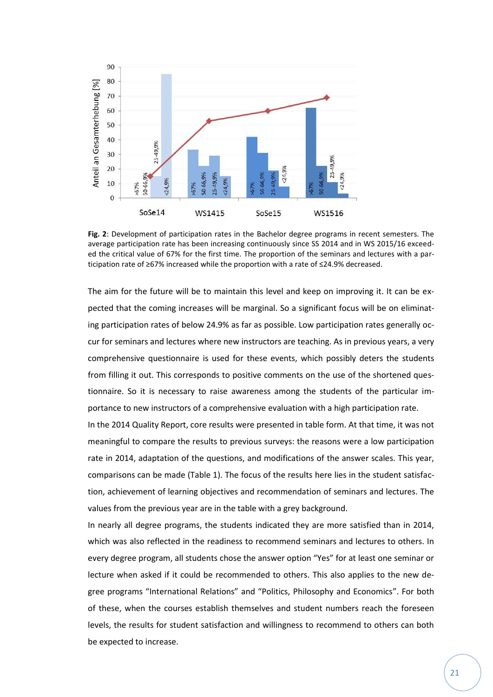

**Fig. 2**: Development of participation rates in the Bachelor degree programs in recent semesters. The average participation rate has been increasing continuously since SS 2014 and in WS 2015/16 exceeded the critical value of 67% for the first time. The proportion of the seminars and lectures with a participation rate of ≥67% increased while the proportion with a rate of ≤24.9% decreased.

The aim for the future will be to maintain this level and keep on improving it. It can be expected that the coming increases will be marginal. So a significant focus will be on eliminating participation rates of below 24.9% as far as possible. Low participation rates generally occur for seminars and lectures where new instructors are teaching. As in previous years, a very comprehensive questionnaire is used for these events, which possibly deters the students from filling it out. This corresponds to positive comments on the use of the shortened questionnaire. So it is necessary to raise awareness among the students of the particular importance to new instructors of a comprehensive evaluation with a high participation rate.

In the 2014 Quality Report, core results were presented in table form. At that time, it was not meaningful to compare the results to previous surveys: the reasons were a low participation rate in 2014, adaptation of the questions, and modifications of the answer scales. This year, comparisons can be made (Table 1). The focus of the results here lies in the student satisfaction, achievement of learning objectives and recommendation of seminars and lectures. The values from the previous year are in the table with a grey background.

In nearly all degree programs, the students indicated they are more satisfied than in 2014, which was also reflected in the readiness to recommend seminars and lectures to others. In every degree program, all students chose the answer option "Yes" for at least one seminar or lecture when asked if it could be recommended to others. This also applies to the new degree programs "International Relations" and "Politics, Philosophy and Economics". For both of these, when the courses establish themselves and student numbers reach the foreseen levels, the results for student satisfaction and willingness to recommend to others can both be expected to increase.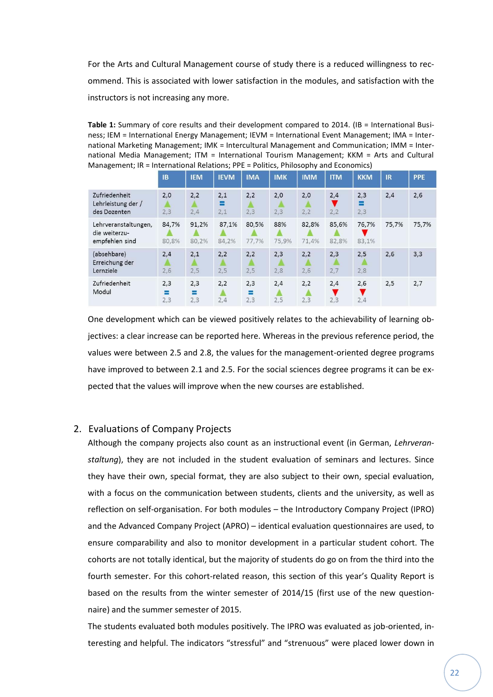For the Arts and Cultural Management course of study there is a reduced willingness to recommend. This is associated with lower satisfaction in the modules, and satisfaction with the instructors is not increasing any more.

**Table 1:** Summary of core results and their development compared to 2014. (IB = International Business; IEM = International Energy Management; IEVM = International Event Management; IMA = International Marketing Management; IMK = Intercultural Management and Communication; IMM = International Media Management; ITM = International Tourism Management; KKM = Arts and Cultural Management; IR = International Relations; PPE = Politics, Philosophy and Economics)

|                                                         | <b>IB</b>       | <b>IEM</b>      | <b>IEVM</b>     | <b>IMA</b>      | <b>IMK</b>   | <b>IMM</b>     | <b>ITM</b>     | <b>KKM</b>      | <b>IR</b> | <b>PPE</b> |
|---------------------------------------------------------|-----------------|-----------------|-----------------|-----------------|--------------|----------------|----------------|-----------------|-----------|------------|
| Zufriedenheit<br>Lehrleistung der /<br>des Dozenten     | 2,0<br>2,3      | 2,2<br>2,4      | 2,1<br>≡<br>2,1 | 2,2<br>2,3      | 2,0<br>2,3   | 2,0<br>2,2     | 2,4<br>2,2     | 2,3<br>Ξ<br>2,3 | 2,4       | 2,6        |
| Lehrveranstaltungen,<br>die weiterzu-<br>empfehlen sind | 84.7%<br>80,8%  | 91.2%<br>80.2%  | 87.1%<br>84,2%  | 80,5%<br>77,7%  | 88%<br>75,9% | 82,8%<br>71.4% | 85,6%<br>82,8% | 76.7%<br>83,1%  | 75.7%     | 75,7%      |
| (absehbare)<br>Erreichung der<br>Lernziele              | 2,4<br>2,6      | 2,1<br>2,5      | 2,2<br>2,5      | 2,2<br>2,5      | 2,3<br>2,8   | 2,2<br>2,6     | 2,3<br>2,7     | 2,5<br>2,8      | 2,6       | 3,3        |
| Zufriedenheit<br>Modul                                  | 2,3<br>≡<br>2,3 | 2,3<br>≡<br>2,3 | 2,2<br>2,4      | 2,3<br>⋿<br>2,3 | 2,4<br>2,5   | 2,2<br>2,3     | 2,4<br>2,3     | 2,6<br>2,4      | 2,5       | 2,7        |

One development which can be viewed positively relates to the achievability of learning objectives: a clear increase can be reported here. Whereas in the previous reference period, the values were between 2.5 and 2.8, the values for the management-oriented degree programs have improved to between 2.1 and 2.5. For the social sciences degree programs it can be expected that the values will improve when the new courses are established.

# <span id="page-21-0"></span>2. Evaluations of Company Projects

Although the company projects also count as an instructional event (in German, *Lehrveranstaltung*), they are not included in the student evaluation of seminars and lectures. Since they have their own, special format, they are also subject to their own, special evaluation, with a focus on the communication between students, clients and the university, as well as reflection on self-organisation. For both modules – the Introductory Company Project (IPRO) and the Advanced Company Project (APRO) – identical evaluation questionnaires are used, to ensure comparability and also to monitor development in a particular student cohort. The cohorts are not totally identical, but the majority of students do go on from the third into the fourth semester. For this cohort-related reason, this section of this year's Quality Report is based on the results from the winter semester of 2014/15 (first use of the new questionnaire) and the summer semester of 2015.

The students evaluated both modules positively. The IPRO was evaluated as job-oriented, interesting and helpful. The indicators "stressful" and "strenuous" were placed lower down in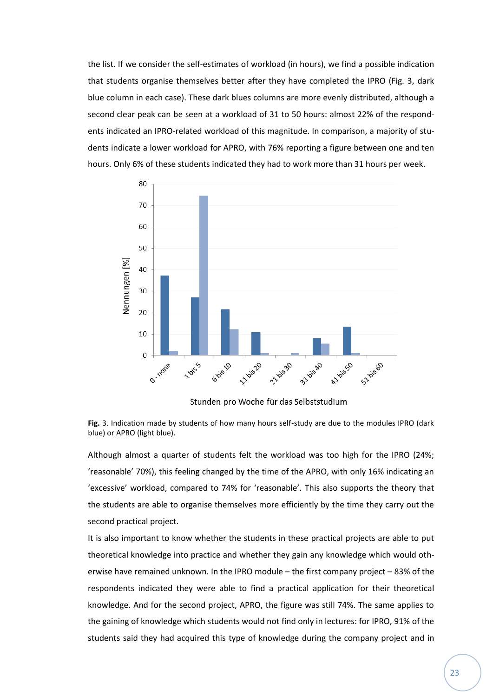the list. If we consider the self-estimates of workload (in hours), we find a possible indication that students organise themselves better after they have completed the IPRO (Fig. 3, dark blue column in each case). These dark blues columns are more evenly distributed, although a second clear peak can be seen at a workload of 31 to 50 hours: almost 22% of the respondents indicated an IPRO-related workload of this magnitude. In comparison, a majority of students indicate a lower workload for APRO, with 76% reporting a figure between one and ten hours. Only 6% of these students indicated they had to work more than 31 hours per week.



Stunden pro Woche für das Selbststudium

**Fig.** 3. Indication made by students of how many hours self-study are due to the modules IPRO (dark blue) or APRO (light blue).

Although almost a quarter of students felt the workload was too high for the IPRO (24%; 'reasonable' 70%), this feeling changed by the time of the APRO, with only 16% indicating an 'excessive' workload, compared to 74% for 'reasonable'. This also supports the theory that the students are able to organise themselves more efficiently by the time they carry out the second practical project.

It is also important to know whether the students in these practical projects are able to put theoretical knowledge into practice and whether they gain any knowledge which would otherwise have remained unknown. In the IPRO module – the first company project – 83% of the respondents indicated they were able to find a practical application for their theoretical knowledge. And for the second project, APRO, the figure was still 74%. The same applies to the gaining of knowledge which students would not find only in lectures: for IPRO, 91% of the students said they had acquired this type of knowledge during the company project and in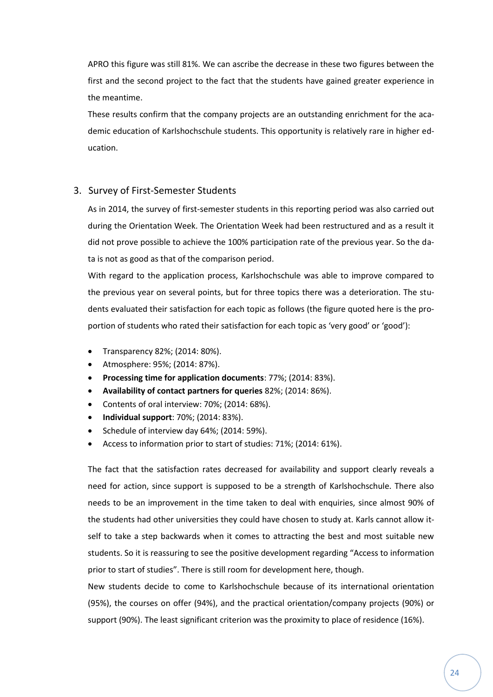APRO this figure was still 81%. We can ascribe the decrease in these two figures between the first and the second project to the fact that the students have gained greater experience in the meantime.

These results confirm that the company projects are an outstanding enrichment for the academic education of Karlshochschule students. This opportunity is relatively rare in higher education.

## <span id="page-23-0"></span>3. Survey of First-Semester Students

As in 2014, the survey of first-semester students in this reporting period was also carried out during the Orientation Week. The Orientation Week had been restructured and as a result it did not prove possible to achieve the 100% participation rate of the previous year. So the data is not as good as that of the comparison period.

With regard to the application process, Karlshochschule was able to improve compared to the previous year on several points, but for three topics there was a deterioration. The students evaluated their satisfaction for each topic as follows (the figure quoted here is the proportion of students who rated their satisfaction for each topic as 'very good' or 'good'):

- Transparency 82%; (2014: 80%).
- Atmosphere: 95%; (2014: 87%).
- **Processing time for application documents**: 77%; (2014: 83%).
- **Availability of contact partners for queries** 82%; (2014: 86%).
- Contents of oral interview: 70%; (2014: 68%).
- **Individual support**: 70%; (2014: 83%).
- Schedule of interview day 64%; (2014: 59%).
- Access to information prior to start of studies: 71%; (2014: 61%).

The fact that the satisfaction rates decreased for availability and support clearly reveals a need for action, since support is supposed to be a strength of Karlshochschule. There also needs to be an improvement in the time taken to deal with enquiries, since almost 90% of the students had other universities they could have chosen to study at. Karls cannot allow itself to take a step backwards when it comes to attracting the best and most suitable new students. So it is reassuring to see the positive development regarding "Access to information prior to start of studies". There is still room for development here, though.

New students decide to come to Karlshochschule because of its international orientation (95%), the courses on offer (94%), and the practical orientation/company projects (90%) or support (90%). The least significant criterion was the proximity to place of residence (16%).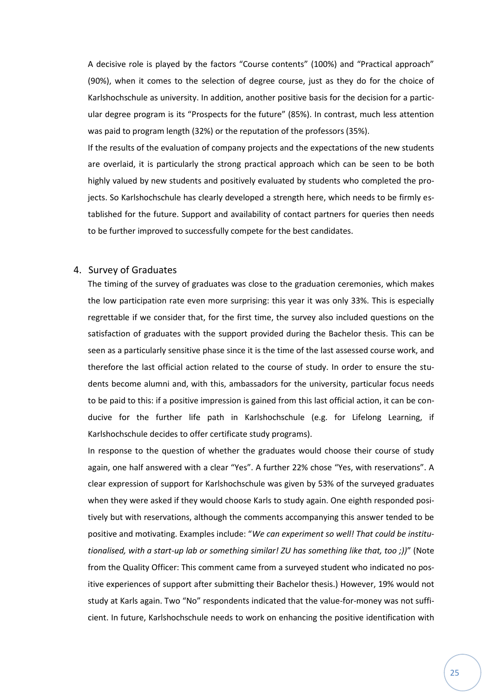A decisive role is played by the factors "Course contents" (100%) and "Practical approach" (90%), when it comes to the selection of degree course, just as they do for the choice of Karlshochschule as university. In addition, another positive basis for the decision for a particular degree program is its "Prospects for the future" (85%). In contrast, much less attention was paid to program length (32%) or the reputation of the professors (35%).

If the results of the evaluation of company projects and the expectations of the new students are overlaid, it is particularly the strong practical approach which can be seen to be both highly valued by new students and positively evaluated by students who completed the projects. So Karlshochschule has clearly developed a strength here, which needs to be firmly established for the future. Support and availability of contact partners for queries then needs to be further improved to successfully compete for the best candidates.

## <span id="page-24-0"></span>4. Survey of Graduates

The timing of the survey of graduates was close to the graduation ceremonies, which makes the low participation rate even more surprising: this year it was only 33%. This is especially regrettable if we consider that, for the first time, the survey also included questions on the satisfaction of graduates with the support provided during the Bachelor thesis. This can be seen as a particularly sensitive phase since it is the time of the last assessed course work, and therefore the last official action related to the course of study. In order to ensure the students become alumni and, with this, ambassadors for the university, particular focus needs to be paid to this: if a positive impression is gained from this last official action, it can be conducive for the further life path in Karlshochschule (e.g. for Lifelong Learning, if Karlshochschule decides to offer certificate study programs).

In response to the question of whether the graduates would choose their course of study again, one half answered with a clear "Yes". A further 22% chose "Yes, with reservations". A clear expression of support for Karlshochschule was given by 53% of the surveyed graduates when they were asked if they would choose Karls to study again. One eighth responded positively but with reservations, although the comments accompanying this answer tended to be positive and motivating. Examples include: "*We can experiment so well! That could be institutionalised, with a start-up lab or something similar! ZU has something like that, too ;))*" (Note from the Quality Officer: This comment came from a surveyed student who indicated no positive experiences of support after submitting their Bachelor thesis.) However, 19% would not study at Karls again. Two "No" respondents indicated that the value-for-money was not sufficient. In future, Karlshochschule needs to work on enhancing the positive identification with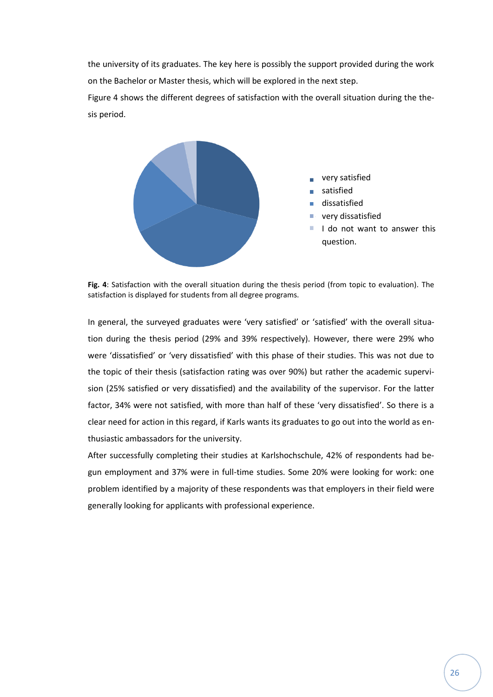the university of its graduates. The key here is possibly the support provided during the work on the Bachelor or Master thesis, which will be explored in the next step.

Figure 4 shows the different degrees of satisfaction with the overall situation during the thesis period.



**Fig. 4**: Satisfaction with the overall situation during the thesis period (from topic to evaluation). The satisfaction is displayed for students from all degree programs.

In general, the surveyed graduates were 'very satisfied' or 'satisfied' with the overall situation during the thesis period (29% and 39% respectively). However, there were 29% who were 'dissatisfied' or 'very dissatisfied' with this phase of their studies. This was not due to the topic of their thesis (satisfaction rating was over 90%) but rather the academic supervision (25% satisfied or very dissatisfied) and the availability of the supervisor. For the latter factor, 34% were not satisfied, with more than half of these 'very dissatisfied'. So there is a clear need for action in this regard, if Karls wants its graduates to go out into the world as enthusiastic ambassadors for the university.

After successfully completing their studies at Karlshochschule, 42% of respondents had begun employment and 37% were in full-time studies. Some 20% were looking for work: one problem identified by a majority of these respondents was that employers in their field were generally looking for applicants with professional experience.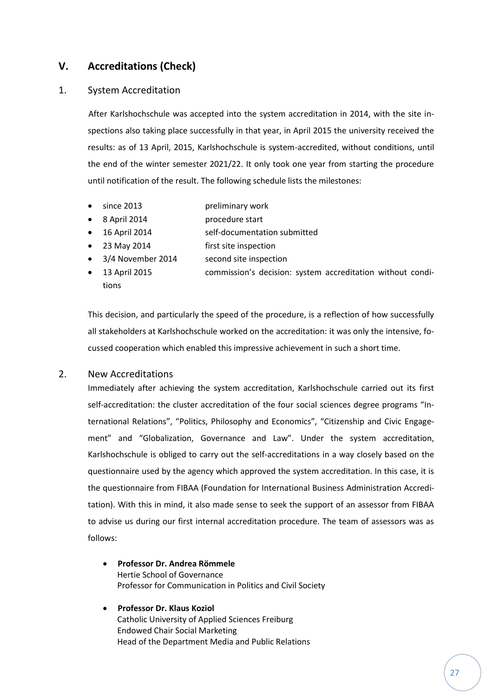# <span id="page-26-0"></span>**V. Accreditations (Check)**

## <span id="page-26-1"></span>1. System Accreditation

After Karlshochschule was accepted into the system accreditation in 2014, with the site inspections also taking place successfully in that year, in April 2015 the university received the results: as of 13 April, 2015, Karlshochschule is system-accredited, without conditions, until the end of the winter semester 2021/22. It only took one year from starting the procedure until notification of the result. The following schedule lists the milestones:

- since 2013 preliminary work
- 8 April 2014 **procedure start**
- 16 April 2014 self-documentation submitted
- 23 May 2014 first site inspection
- 3/4 November 2014 second site inspection
- 13 April 2015 commission's decision: system accreditation without conditions

This decision, and particularly the speed of the procedure, is a reflection of how successfully all stakeholders at Karlshochschule worked on the accreditation: it was only the intensive, focussed cooperation which enabled this impressive achievement in such a short time.

## <span id="page-26-2"></span>2. New Accreditations

Immediately after achieving the system accreditation, Karlshochschule carried out its first self-accreditation: the cluster accreditation of the four social sciences degree programs "International Relations", "Politics, Philosophy and Economics", "Citizenship and Civic Engagement" and "Globalization, Governance and Law". Under the system accreditation, Karlshochschule is obliged to carry out the self-accreditations in a way closely based on the questionnaire used by the agency which approved the system accreditation. In this case, it is the questionnaire from FIBAA (Foundation for International Business Administration Accreditation). With this in mind, it also made sense to seek the support of an assessor from FIBAA to advise us during our first internal accreditation procedure. The team of assessors was as follows:

- **Professor Dr. Andrea Römmele** Hertie School of Governance Professor for Communication in Politics and Civil Society
- **Professor Dr. Klaus Koziol** Catholic University of Applied Sciences Freiburg Endowed Chair Social Marketing Head of the Department Media and Public Relations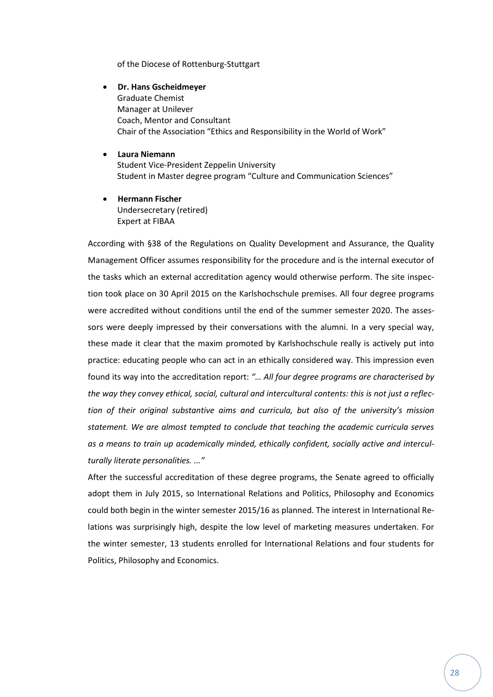of the Diocese of Rottenburg-Stuttgart

- **Dr. Hans Gscheidmeyer** Graduate Chemist Manager at Unilever Coach, Mentor and Consultant Chair of the Association "Ethics and Responsibility in the World of Work"
- **Laura Niemann** Student Vice-President Zeppelin University Student in Master degree program "Culture and Communication Sciences"
- **Hermann Fischer** Undersecretary (retired) Expert at FIBAA

According with §38 of the Regulations on Quality Development and Assurance, the Quality Management Officer assumes responsibility for the procedure and is the internal executor of the tasks which an external accreditation agency would otherwise perform. The site inspection took place on 30 April 2015 on the Karlshochschule premises. All four degree programs were accredited without conditions until the end of the summer semester 2020. The assessors were deeply impressed by their conversations with the alumni. In a very special way, these made it clear that the maxim promoted by Karlshochschule really is actively put into practice: educating people who can act in an ethically considered way. This impression even found its way into the accreditation report: *"… All four degree programs are characterised by the way they convey ethical, social, cultural and intercultural contents: this is not just a reflection of their original substantive aims and curricula, but also of the university's mission statement. We are almost tempted to conclude that teaching the academic curricula serves as a means to train up academically minded, ethically confident, socially active and interculturally literate personalities. ..."*

After the successful accreditation of these degree programs, the Senate agreed to officially adopt them in July 2015, so International Relations and Politics, Philosophy and Economics could both begin in the winter semester 2015/16 as planned. The interest in International Relations was surprisingly high, despite the low level of marketing measures undertaken. For the winter semester, 13 students enrolled for International Relations and four students for Politics, Philosophy and Economics.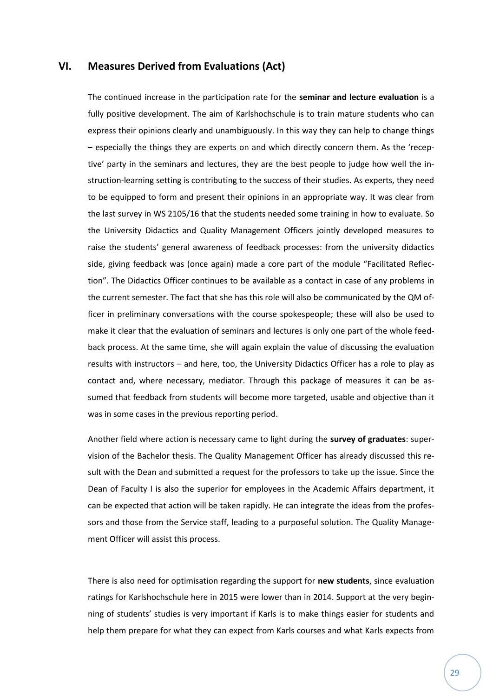## <span id="page-28-0"></span>**VI. Measures Derived from Evaluations (Act)**

The continued increase in the participation rate for the **seminar and lecture evaluation** is a fully positive development. The aim of Karlshochschule is to train mature students who can express their opinions clearly and unambiguously. In this way they can help to change things – especially the things they are experts on and which directly concern them. As the 'receptive' party in the seminars and lectures, they are the best people to judge how well the instruction-learning setting is contributing to the success of their studies. As experts, they need to be equipped to form and present their opinions in an appropriate way. It was clear from the last survey in WS 2105/16 that the students needed some training in how to evaluate. So the University Didactics and Quality Management Officers jointly developed measures to raise the students' general awareness of feedback processes: from the university didactics side, giving feedback was (once again) made a core part of the module "Facilitated Reflection". The Didactics Officer continues to be available as a contact in case of any problems in the current semester. The fact that she has this role will also be communicated by the QM officer in preliminary conversations with the course spokespeople; these will also be used to make it clear that the evaluation of seminars and lectures is only one part of the whole feedback process. At the same time, she will again explain the value of discussing the evaluation results with instructors – and here, too, the University Didactics Officer has a role to play as contact and, where necessary, mediator. Through this package of measures it can be assumed that feedback from students will become more targeted, usable and objective than it was in some cases in the previous reporting period.

Another field where action is necessary came to light during the **survey of graduates**: supervision of the Bachelor thesis. The Quality Management Officer has already discussed this result with the Dean and submitted a request for the professors to take up the issue. Since the Dean of Faculty I is also the superior for employees in the Academic Affairs department, it can be expected that action will be taken rapidly. He can integrate the ideas from the professors and those from the Service staff, leading to a purposeful solution. The Quality Management Officer will assist this process.

There is also need for optimisation regarding the support for **new students**, since evaluation ratings for Karlshochschule here in 2015 were lower than in 2014. Support at the very beginning of students' studies is very important if Karls is to make things easier for students and help them prepare for what they can expect from Karls courses and what Karls expects from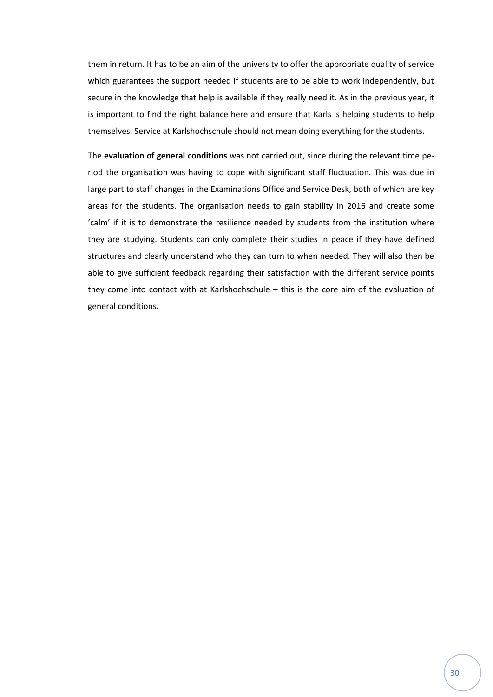them in return. It has to be an aim of the university to offer the appropriate quality of service which guarantees the support needed if students are to be able to work independently, but secure in the knowledge that help is available if they really need it. As in the previous year, it is important to find the right balance here and ensure that Karls is helping students to help themselves. Service at Karlshochschule should not mean doing everything for the students.

The **evaluation of general conditions** was not carried out, since during the relevant time period the organisation was having to cope with significant staff fluctuation. This was due in large part to staff changes in the Examinations Office and Service Desk, both of which are key areas for the students. The organisation needs to gain stability in 2016 and create some 'calm' if it is to demonstrate the resilience needed by students from the institution where they are studying. Students can only complete their studies in peace if they have defined structures and clearly understand who they can turn to when needed. They will also then be able to give sufficient feedback regarding their satisfaction with the different service points they come into contact with at Karlshochschule – this is the core aim of the evaluation of general conditions.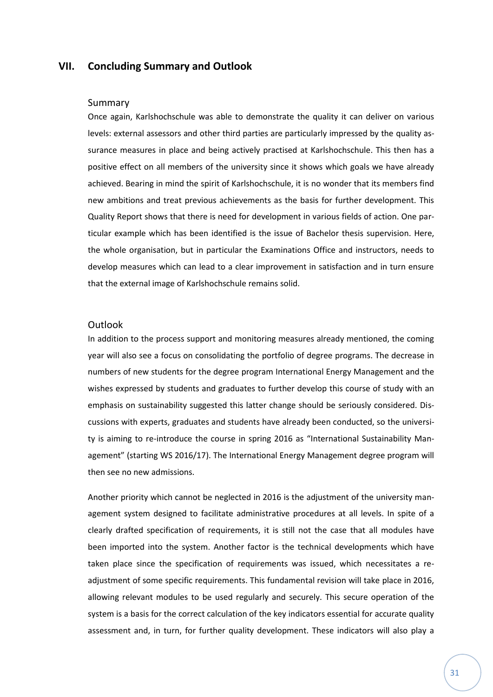## <span id="page-30-0"></span>**VII. Concluding Summary and Outlook**

#### Summary

Once again, Karlshochschule was able to demonstrate the quality it can deliver on various levels: external assessors and other third parties are particularly impressed by the quality assurance measures in place and being actively practised at Karlshochschule. This then has a positive effect on all members of the university since it shows which goals we have already achieved. Bearing in mind the spirit of Karlshochschule, it is no wonder that its members find new ambitions and treat previous achievements as the basis for further development. This Quality Report shows that there is need for development in various fields of action. One particular example which has been identified is the issue of Bachelor thesis supervision. Here, the whole organisation, but in particular the Examinations Office and instructors, needs to develop measures which can lead to a clear improvement in satisfaction and in turn ensure that the external image of Karlshochschule remains solid.

### **Outlook**

In addition to the process support and monitoring measures already mentioned, the coming year will also see a focus on consolidating the portfolio of degree programs. The decrease in numbers of new students for the degree program International Energy Management and the wishes expressed by students and graduates to further develop this course of study with an emphasis on sustainability suggested this latter change should be seriously considered. Discussions with experts, graduates and students have already been conducted, so the university is aiming to re-introduce the course in spring 2016 as "International Sustainability Management" (starting WS 2016/17). The International Energy Management degree program will then see no new admissions.

Another priority which cannot be neglected in 2016 is the adjustment of the university management system designed to facilitate administrative procedures at all levels. In spite of a clearly drafted specification of requirements, it is still not the case that all modules have been imported into the system. Another factor is the technical developments which have taken place since the specification of requirements was issued, which necessitates a readjustment of some specific requirements. This fundamental revision will take place in 2016, allowing relevant modules to be used regularly and securely. This secure operation of the system is a basis for the correct calculation of the key indicators essential for accurate quality assessment and, in turn, for further quality development. These indicators will also play a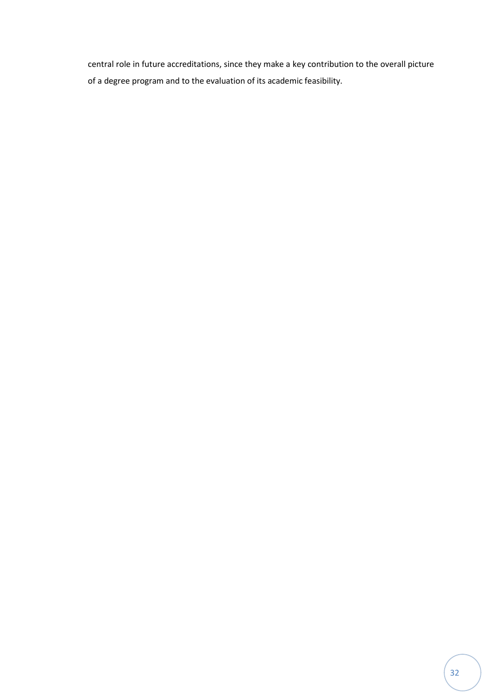central role in future accreditations, since they make a key contribution to the overall picture of a degree program and to the evaluation of its academic feasibility.